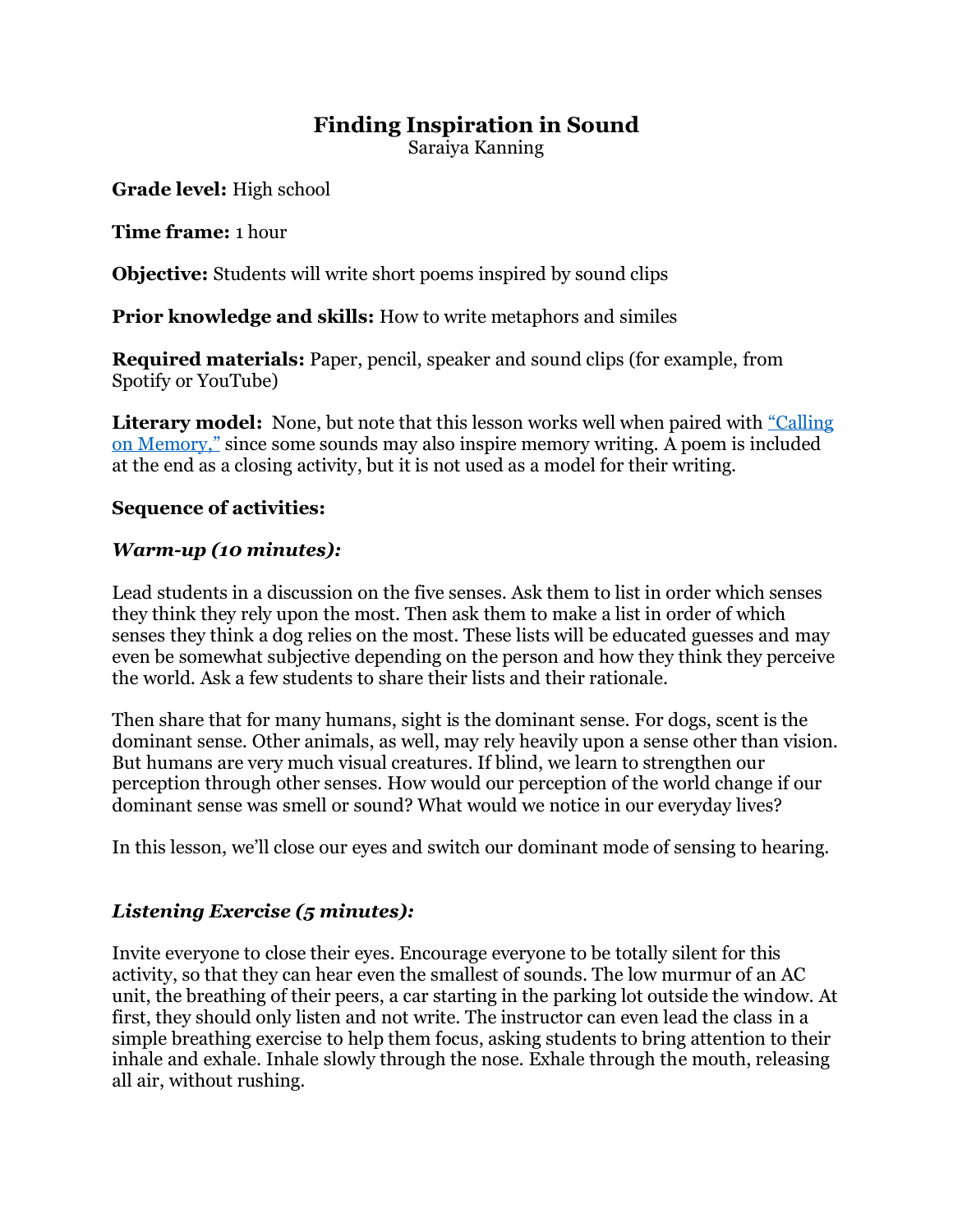# **Finding Inspiration in Sound**

Saraiya Kanning

**Grade level:** High school

**Time frame:** 1 hour

**Objective:** Students will write short poems inspired by sound clips

**Prior knowledge and skills:** How to write metaphors and similes

**Required materials:** Paper, pencil, speaker and sound clips (for example, from Spotify or YouTube)

Literary model: None, but note that this lesson works well when paired with "Calling" [on Memory](https://poetry.arizona.edu/education/curriculum/calling-memory)," since some sounds may also inspire memory writing. A poem is included at the end as a closing activity, but it is not used as a model for their writing.

### **Sequence of activities:**

#### *Warm-up (10 minutes):*

Lead students in a discussion on the five senses. Ask them to list in order which senses they think they rely upon the most. Then ask them to make a list in order of which senses they think a dog relies on the most. These lists will be educated guesses and may even be somewhat subjective depending on the person and how they think they perceive the world. Ask a few students to share their lists and their rationale.

Then share that for many humans, sight is the dominant sense. For dogs, scent is the dominant sense. Other animals, as well, may rely heavily upon a sense other than vision. But humans are very much visual creatures. If blind, we learn to strengthen our perception through other senses. How would our perception of the world change if our dominant sense was smell or sound? What would we notice in our everyday lives?

In this lesson, we'll close our eyes and switch our dominant mode of sensing to hearing.

### *Listening Exercise (5 minutes):*

Invite everyone to close their eyes. Encourage everyone to be totally silent for this activity, so that they can hear even the smallest of sounds. The low murmur of an AC unit, the breathing of their peers, a car starting in the parking lot outside the window. At first, they should only listen and not write. The instructor can even lead the class in a simple breathing exercise to help them focus, asking students to bring attention to their inhale and exhale. Inhale slowly through the nose. Exhale through the mouth, releasing all air, without rushing.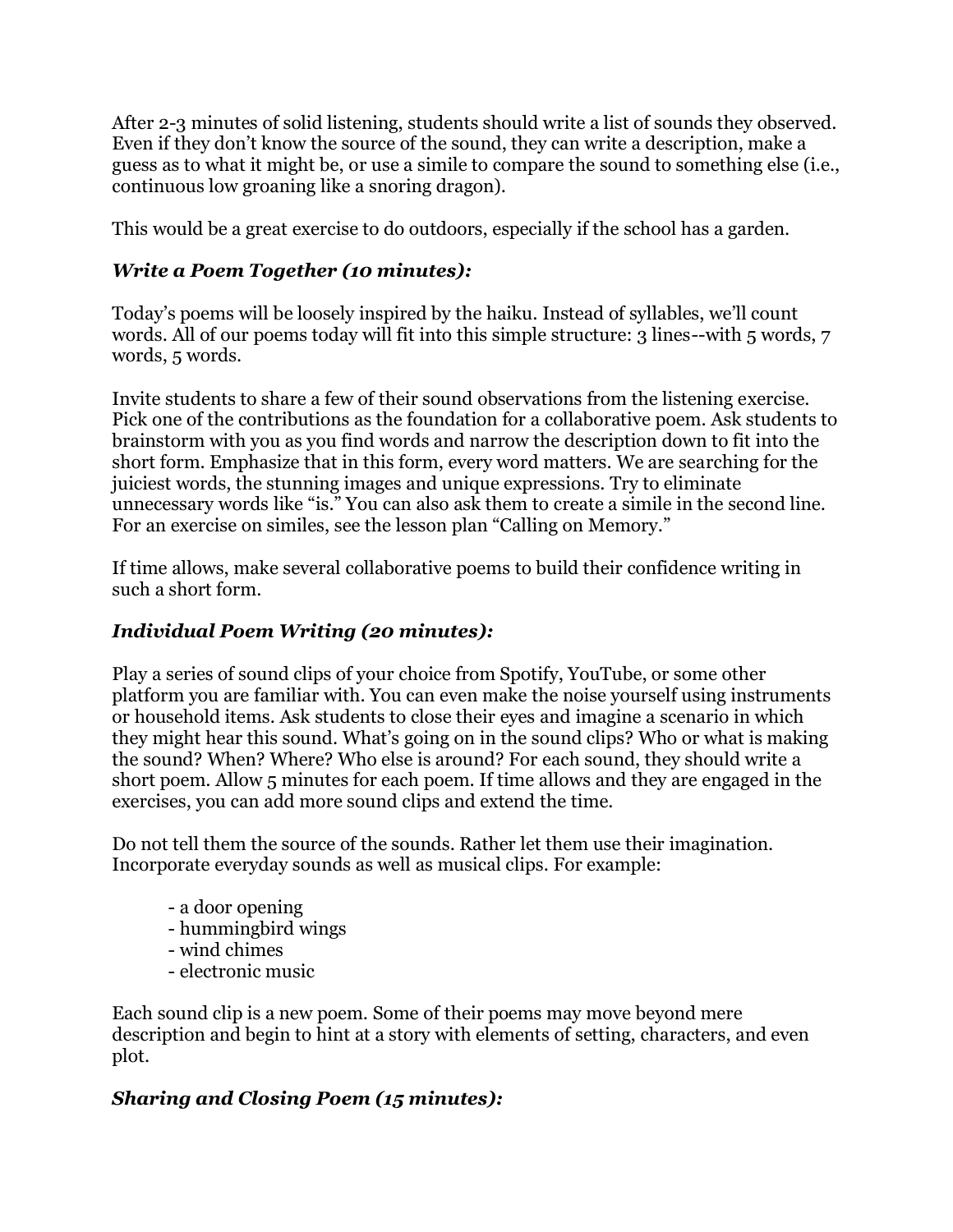After 2-3 minutes of solid listening, students should write a list of sounds they observed. Even if they don't know the source of the sound, they can write a description, make a guess as to what it might be, or use a simile to compare the sound to something else (i.e., continuous low groaning like a snoring dragon).

This would be a great exercise to do outdoors, especially if the school has a garden.

## *Write a Poem Together (10 minutes):*

Today's poems will be loosely inspired by the haiku. Instead of syllables, we'll count words. All of our poems today will fit into this simple structure: 3 lines--with 5 words, 7 words, 5 words.

Invite students to share a few of their sound observations from the listening exercise. Pick one of the contributions as the foundation for a collaborative poem. Ask students to brainstorm with you as you find words and narrow the description down to fit into the short form. Emphasize that in this form, every word matters. We are searching for the juiciest words, the stunning images and unique expressions. Try to eliminate unnecessary words like "is." You can also ask them to create a simile in the second line. For an exercise on similes, see the lesson plan "Calling on Memory."

If time allows, make several collaborative poems to build their confidence writing in such a short form.

## *Individual Poem Writing (20 minutes):*

Play a series of sound clips of your choice from Spotify, YouTube, or some other platform you are familiar with. You can even make the noise yourself using instruments or household items. Ask students to close their eyes and imagine a scenario in which they might hear this sound. What's going on in the sound clips? Who or what is making the sound? When? Where? Who else is around? For each sound, they should write a short poem. Allow 5 minutes for each poem. If time allows and they are engaged in the exercises, you can add more sound clips and extend the time.

Do not tell them the source of the sounds. Rather let them use their imagination. Incorporate everyday sounds as well as musical clips. For example:

- a door opening
- hummingbird wings
- wind chimes
- electronic music

Each sound clip is a new poem. Some of their poems may move beyond mere description and begin to hint at a story with elements of setting, characters, and even plot.

## *Sharing and Closing Poem (15 minutes):*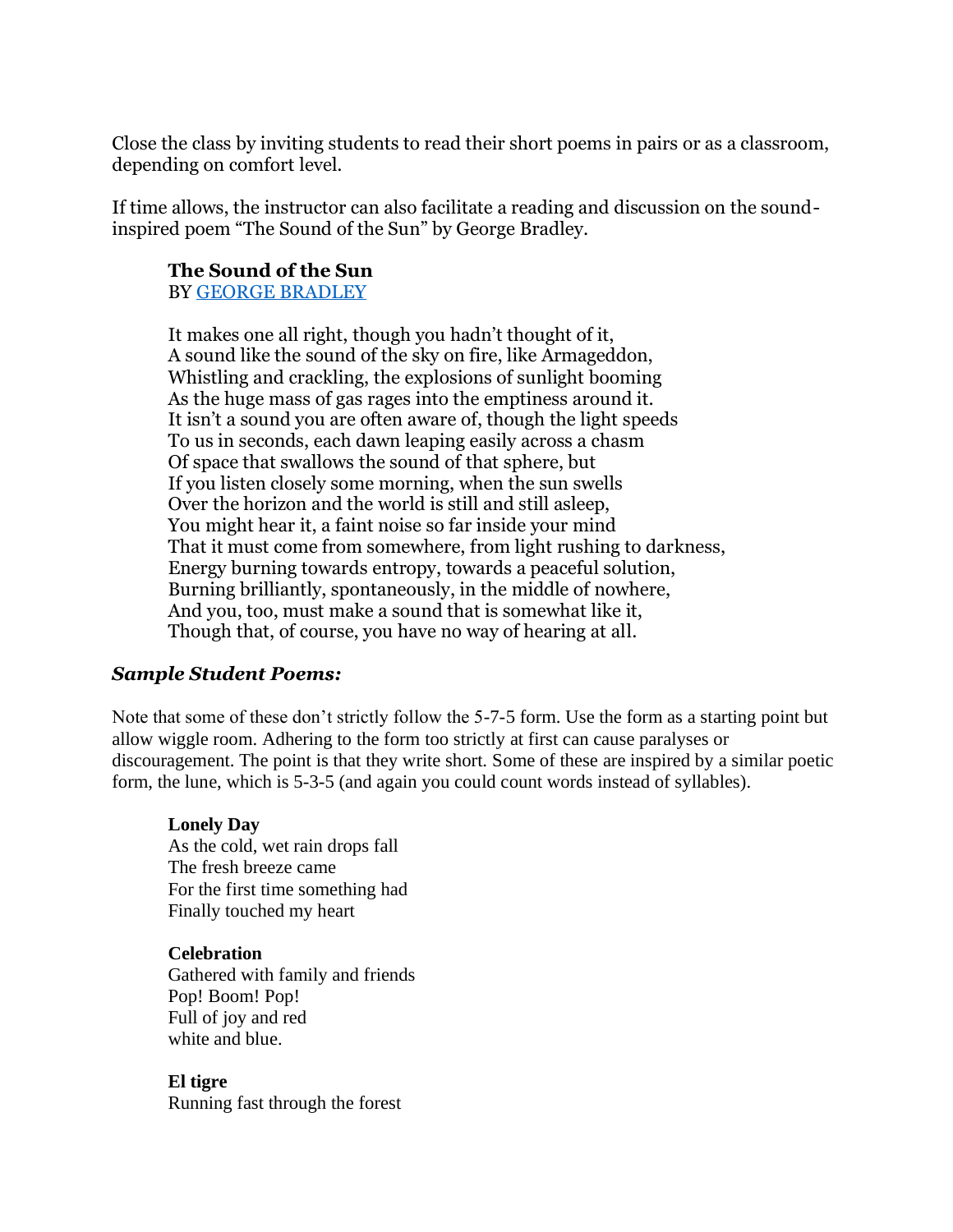Close the class by inviting students to read their short poems in pairs or as a classroom, depending on comfort level.

If time allows, the instructor can also facilitate a reading and discussion on the soundinspired poem "The Sound of the Sun" by George Bradley.

#### **The Sound of the Sun**

BY [GEORGE BRADLEY](https://www.poetryfoundation.org/poets/george-bradley)

It makes one all right, though you hadn't thought of it, A sound like the sound of the sky on fire, like Armageddon, Whistling and crackling, the explosions of sunlight booming As the huge mass of gas rages into the emptiness around it. It isn't a sound you are often aware of, though the light speeds To us in seconds, each dawn leaping easily across a chasm Of space that swallows the sound of that sphere, but If you listen closely some morning, when the sun swells Over the horizon and the world is still and still asleep, You might hear it, a faint noise so far inside your mind That it must come from somewhere, from light rushing to darkness, Energy burning towards entropy, towards a peaceful solution, Burning brilliantly, spontaneously, in the middle of nowhere, And you, too, must make a sound that is somewhat like it, Though that, of course, you have no way of hearing at all.

#### *Sample Student Poems:*

Note that some of these don't strictly follow the 5-7-5 form. Use the form as a starting point but allow wiggle room. Adhering to the form too strictly at first can cause paralyses or discouragement. The point is that they write short. Some of these are inspired by a similar poetic form, the lune, which is 5-3-5 (and again you could count words instead of syllables).

#### **Lonely Day**

As the cold, wet rain drops fall The fresh breeze came For the first time something had Finally touched my heart

#### **Celebration**

Gathered with family and friends Pop! Boom! Pop! Full of joy and red white and blue.

#### **El tigre**

Running fast through the forest